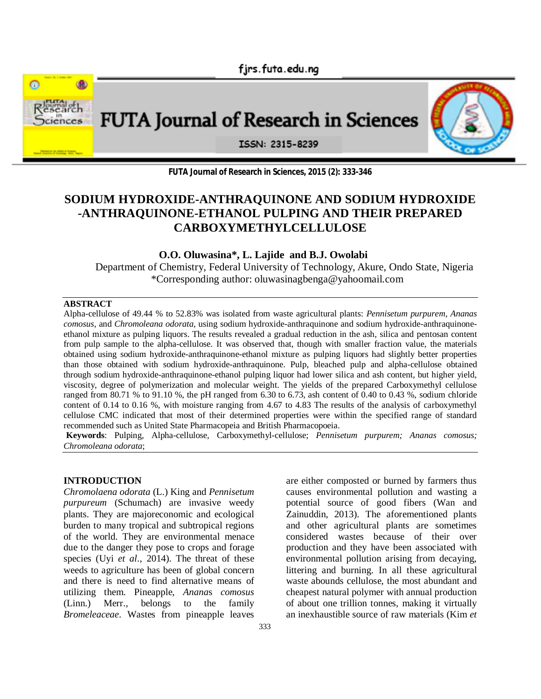firs.futa.edu.ng



**FUTA Journal of Research in Sciences, 2015 (2): 333-346**

# **SODIUM HYDROXIDE-ANTHRAQUINONE AND SODIUM HYDROXIDE -ANTHRAQUINONE-ETHANOL PULPING AND THEIR PREPARED CARBOXYMETHYLCELLULOSE**

### **O.O. Oluwasina\*, L. Lajide and B.J. Owolabi**

Department of Chemistry, Federal University of Technology, Akure, Ondo State, Nigeria \*Corresponding author: oluwasinagbenga@yahoomail.com

#### **ABSTRACT**

Alpha-cellulose of 49.44 % to 52.83% was isolated from waste agricultural plants: *Pennisetum purpurem, Ananas comosus,* and *Chromoleana odorata*, using sodium hydroxide-anthraquinone and sodium hydroxide-anthraquinoneethanol mixture as pulping liquors. The results revealed a gradual reduction in the ash, silica and pentosan content from pulp sample to the alpha-cellulose. It was observed that, though with smaller fraction value, the materials obtained using sodium hydroxide-anthraquinone-ethanol mixture as pulping liquors had slightly better properties than those obtained with sodium hydroxide-anthraquinone. Pulp, bleached pulp and alpha-cellulose obtained through sodium hydroxide-anthraquinone-ethanol pulping liquor had lower silica and ash content, but higher yield, viscosity, degree of polymerization and molecular weight. The yields of the prepared Carboxymethyl cellulose ranged from 80.71 % to 91.10 %, the pH ranged from 6.30 to 6.73, ash content of 0.40 to 0.43 %, sodium chloride content of 0.14 to 0.16 %, with moisture ranging from 4.67 to 4.83 The results of the analysis of carboxymethyl cellulose CMC indicated that most of their determined properties were within the specified range of standard recommended such as United State Pharmacopeia and British Pharmacopoeia.

**Keywords**: Pulping, Alpha-cellulose, Carboxymethyl-cellulose; *Pennisetum purpurem; Ananas comosus; Chromoleana odorata*;

### **INTRODUCTION**

*Chromolaena odorata* (L.) King and *Pennisetum purpureum* (Schumach) are invasive weedy plants. They are majoreconomic and ecological burden to many tropical and subtropical regions of the world. They are environmental menace due to the danger they pose to crops and forage species (Uyi *et al*., 2014). The threat of these weeds to agriculture has been of global concern and there is need to find alternative means of utilizing them. Pineapple, *Anana*s *comosus*  (Linn.) Merr.*,* belongs to the family *Bromeleaceae*. Wastes from pineapple leaves are either composted or burned by farmers thus causes environmental pollution and wasting a potential source of good fibers (Wan and Zainuddin, 2013). The aforementioned plants and other agricultural plants are sometimes considered wastes because of their over production and they have been associated with environmental pollution arising from decaying, littering and burning. In all these agricultural waste abounds cellulose, the most abundant and cheapest natural polymer with annual production of about one trillion tonnes, making it virtually an inexhaustible source of raw materials (Kim *et*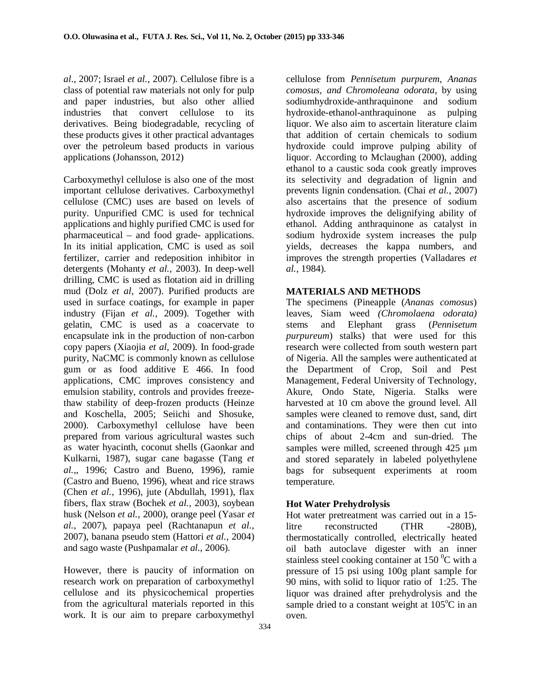*al*., 2007; Israel *et al.,* 2007). Cellulose fibre is a class of potential raw materials not only for pulp and paper industries, but also other allied industries that convert cellulose to its derivatives. Being biodegradable, recycling of these products gives it other practical advantages over the petroleum based products in various applications (Johansson, 2012)

Carboxymethyl cellulose is also one of the most important cellulose derivatives. Carboxymethyl cellulose (CMC) uses are based on levels of purity. Unpurified CMC is used for technical applications and highly purified CMC is used for pharmaceutical – and food grade- applications. In its initial application, CMC is used as soil fertilizer, carrier and redeposition inhibitor in detergents (Mohanty *et al.,* 2003). In deep-well drilling, CMC is used as flotation aid in drilling mud (Dolz *et al*, 2007). Purified products are used in surface coatings, for example in paper industry (Fijan *et al.,* 2009). Together with gelatin, CMC is used as a coacervate to encapsulate ink in the production of non-carbon copy papers (Xiaojia *et al*, 2009). In food-grade purity, NaCMC is commonly known as cellulose gum or as food additive E 466. In food applications, CMC improves consistency and emulsion stability, controls and provides freezethaw stability of deep-frozen products (Heinze and Koschella, 2005; Seiichi and Shosuke, 2000). Carboxymethyl cellulose have been prepared from various agricultural wastes such as water hyacinth, coconut shells (Gaonkar and Kulkarni, 1987), sugar cane bagasse (Tang *et al.,*, 1996; Castro and Bueno, 1996), ramie (Castro and Bueno, 1996), wheat and rice straws (Chen *et al.,* 1996), jute (Abdullah, 1991), flax fibers, flax straw (Bochek *et al.,* 2003), soybean husk (Nelson *et al.,* 2000), orange peel (Yasar *et al.,* 2007), papaya peel (Rachtanapun *et al.,* 2007), banana pseudo stem (Hattori *et al.,* 2004) and sago waste (Pushpamalar *et al.,* 2006).

However, there is paucity of information on research work on preparation of carboxymethyl cellulose and its physicochemical properties from the agricultural materials reported in this work. It is our aim to prepare carboxymethyl

cellulose from *Pennisetum purpurem, Ananas comosus, and Chromoleana odorata*, by using sodiumhydroxide-anthraquinone and sodium hydroxide-ethanol-anthraquinone as pulping liquor. We also aim to ascertain literature claim that addition of certain chemicals to sodium hydroxide could improve pulping ability of liquor. According to Mclaughan (2000), adding ethanol to a caustic soda cook greatly improves its selectivity and degradation of lignin and prevents lignin condensation. (Chai *et al.,* 2007) also ascertains that the presence of sodium hydroxide improves the delignifying ability of ethanol. Adding anthraquinone as catalyst in sodium hydroxide system increases the pulp yields, decreases the kappa numbers, and improves the strength properties (Valladares *et al.,* 1984).

### **MATERIALS AND METHODS**

The specimens (Pineapple (*Ananas comosus*) leaves, Siam weed *(Chromolaena odorata)*  stems and Elephant grass (*Pennisetum purpureum*) stalks) that were used for this research were collected from south western part of Nigeria. All the samples were authenticated at the Department of Crop, Soil and Pest Management, Federal University of Technology, Akure, Ondo State, Nigeria. Stalks were harvested at 10 cm above the ground level. All samples were cleaned to remove dust, sand, dirt and contaminations. They were then cut into chips of about 2-4cm and sun-dried. The samples were milled, screened through  $425 \mu m$ and stored separately in labeled polyethylene bags for subsequent experiments at room temperature.

### **Hot Water Prehydrolysis**

Hot water pretreatment was carried out in a 15 litre reconstructed (THR -280B), thermostatically controlled, electrically heated oil bath autoclave digester with an inner stainless steel cooking container at 150 $\mathrm{^0C}$  with a pressure of 15 psi using 100g plant sample for 90 mins, with solid to liquor ratio of 1:25. The liquor was drained after prehydrolysis and the sample dried to a constant weight at  $105^{\circ}$ C in an oven.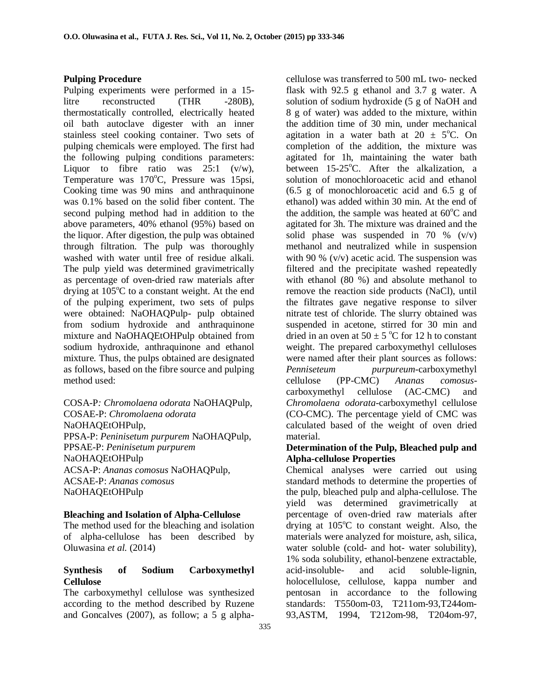#### **Pulping Procedure**

Pulping experiments were performed in a 15 litre reconstructed (THR -280B), thermostatically controlled, electrically heated oil bath autoclave digester with an inner stainless steel cooking container. Two sets of pulping chemicals were employed. The first had the following pulping conditions parameters: Liquor to fibre ratio was  $25:1$  (v/w), Temperature was 170°C, Pressure was 15psi, Cooking time was 90 mins and anthraquinone was 0.1% based on the solid fiber content. The second pulping method had in addition to the above parameters, 40% ethanol (95%) based on the liquor. After digestion, the pulp was obtained through filtration. The pulp was thoroughly washed with water until free of residue alkali. The pulp yield was determined gravimetrically as percentage of oven-dried raw materials after drying at  $105^{\circ}$ C to a constant weight. At the end of the pulping experiment, two sets of pulps were obtained: NaOHAQPulp- pulp obtained from sodium hydroxide and anthraquinone mixture and NaOHAQEtOHPulp obtained from sodium hydroxide, anthraquinone and ethanol mixture. Thus, the pulps obtained are designated as follows, based on the fibre source and pulping method used:

COSA-P*: Chromolaena odorata* NaOHAQPulp, COSAE-P: *Chromolaena odorata* NaOHAQEtOHPulp, PPSA-P: *Peninisetum purpurem* NaOHAQPulp, PPSAE-P: *Peninisetum purpurem* NaOHAQEtOHPulp ACSA-P: *Ananas comosus* NaOHAQPulp, ACSAE-P: *Ananas comosus* NaOHAQEtOHPulp

#### **Bleaching and Isolation of Alpha-Cellulose**

The method used for the bleaching and isolation of alpha-cellulose has been described by Oluwasina *et al.* (2014)

# **Synthesis of Sodium Carboxymethyl Cellulose**

The carboxymethyl cellulose was synthesized according to the method described by Ruzene and Goncalves (2007), as follow; a 5 g alphacellulose was transferred to 500 mL two- necked flask with 92.5 g ethanol and 3.7 g water. A solution of sodium hydroxide (5 g of NaOH and 8 g of water) was added to the mixture, within the addition time of 30 min, under mechanical agitation in a water bath at  $20 \pm 5^{\circ}$ C. On completion of the addition, the mixture was agitated for 1h, maintaining the water bath between  $15{\text -}25^{\circ}$ C. After the alkalization, a solution of monochloroacetic acid and ethanol (6.5 g of monochloroacetic acid and 6.5 g of ethanol) was added within 30 min. At the end of the addition, the sample was heated at  $60^{\circ}$ C and agitated for 3h. The mixture was drained and the solid phase was suspended in 70 %  $(v/v)$ methanol and neutralized while in suspension with 90 % (v/v) acetic acid. The suspension was filtered and the precipitate washed repeatedly with ethanol (80 %) and absolute methanol to remove the reaction side products (NaCl), until the filtrates gave negative response to silver nitrate test of chloride. The slurry obtained was suspended in acetone, stirred for 30 min and dried in an oven at  $50 \pm 5$  °C for 12 h to constant weight. The prepared carboxymethyl celluloses were named after their plant sources as follows: *Penniseteum purpureum-*carboxymethyl cellulose (PP-CMC) *Ananas comosus*carboxymethyl cellulose (AC-CMC) and *Chromolaena odorata*-carboxymethyl cellulose (CO-CMC). The percentage yield of CMC was calculated based of the weight of oven dried material.

### **Determination of the Pulp, Bleached pulp and Alpha-cellulose Properties**

Chemical analyses were carried out using standard methods to determine the properties of the pulp, bleached pulp and alpha-cellulose. The yield was determined gravimetrically at percentage of oven-dried raw materials after drying at  $105^{\circ}$ C to constant weight. Also, the materials were analyzed for moisture, ash, silica, water soluble (cold- and hot- water solubility), 1% soda solubility, ethanol-benzene extractable, acid-insoluble- and acid soluble-lignin, holocellulose, cellulose, kappa number and pentosan in accordance to the following standards: T550om-03, T211om-93,T244om-93,ASTM, 1994, T212om-98, T204om-97,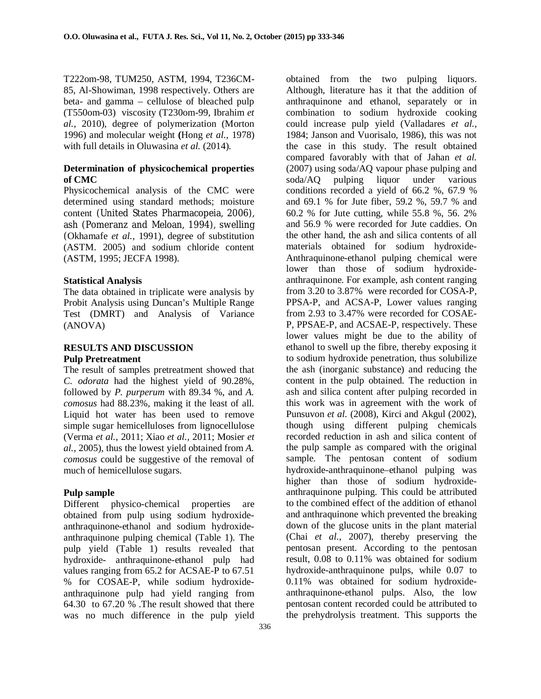T222om-98, TUM250, ASTM, 1994, T236CM-85, Al-Showiman, 1998 respectively. Others are beta- and gamma – cellulose of bleached pulp (T550om-03) viscosity (T230om-99, Ibrahim *et al.,* 2010), degree of polymerization (Morton 1996) and molecular weight **(**Hong *et al.,* 1978) with full details in Oluwasina *et al.* (2014).

### **Determination of physicochemical properties of CMC**

Physicochemical analysis of the CMC were determined using standard methods; moisture content (United States Pharmacopeia, 2006), ash (Pomeranz and Meloan, 1994), swelling (Okhamafe *et al.,* 1991), degree of substitution (ASTM. 2005) and sodium chloride content (ASTM, 1995; JECFA 1998).

#### **Statistical Analysis**

The data obtained in triplicate were analysis by Probit Analysis using Duncan's Multiple Range Test (DMRT) and Analysis of Variance (ANOVA)

# **RESULTS AND DISCUSSION Pulp Pretreatment**

The result of samples pretreatment showed that *C. odorata* had the highest yield of 90.28%, followed by *P. purperum* with 89.34 %, and *A. comosus* had 88.23%, making it the least of all. Liquid hot water has been used to remove simple sugar hemicelluloses from lignocellulose (Verma *et al.,* 2011; Xiao *et al.,* 2011; Mosier *et al.,* 2005), thus the lowest yield obtained from *A. comosus* could be suggestive of the removal of much of hemicellulose sugars.

### **Pulp sample**

Different physico-chemical properties are obtained from pulp using sodium hydroxideanthraquinone-ethanol and sodium hydroxideanthraquinone pulping chemical (Table 1). The pulp yield (Table 1) results revealed that hydroxide- anthraquinone-ethanol pulp had values ranging from 65.2 for ACSAE-P to 67.51 % for COSAE-P, while sodium hydroxideanthraquinone pulp had yield ranging from 64.30 to 67.20 % .The result showed that there was no much difference in the pulp yield

obtained from the two pulping liquors. Although, literature has it that the addition of anthraquinone and ethanol, separately or in combination to sodium hydroxide cooking could increase pulp yield (Valladares *et al.,* 1984; Janson and Vuorisalo, 1986), this was not the case in this study. The result obtained compared favorably with that of Jahan *et al.* (2007) using soda/AQ vapour phase pulping and soda/AQ pulping liquor under various conditions recorded a yield of 66.2 %, 67.9 % and 69.1 % for Jute fiber, 59.2 %, 59.7 % and 60.2 % for Jute cutting, while 55.8 %, 56. 2% and 56.9 % were recorded for Jute caddies. On the other hand, the ash and silica contents of all materials obtained for sodium hydroxide-Anthraquinone-ethanol pulping chemical were lower than those of sodium hydroxideanthraquinone. For example, ash content ranging from 3.20 to 3.87% were recorded for COSA-P, PPSA-P, and ACSA-P, Lower values ranging from 2.93 to 3.47% were recorded for COSAE-P, PPSAE-P, and ACSAE-P, respectively. These lower values might be due to the ability of ethanol to swell up the fibre, thereby exposing it to sodium hydroxide penetration, thus solubilize the ash (inorganic substance) and reducing the content in the pulp obtained. The reduction in ash and silica content after pulping recorded in this work was in agreement with the work of Punsuvon *et al.* (2008), Kirci and Akgul (2002), though using different pulping chemicals recorded reduction in ash and silica content of the pulp sample as compared with the original sample. The pentosan content of sodium hydroxide-anthraquinone–ethanol pulping was higher than those of sodium hydroxideanthraquinone pulping. This could be attributed to the combined effect of the addition of ethanol and anthraquinone which prevented the breaking down of the glucose units in the plant material (Chai *et al.,* 2007), thereby preserving the pentosan present. According to the pentosan result, 0.08 to 0.11% was obtained for sodium hydroxide-anthraquinone pulps, while 0.07 to 0.11% was obtained for sodium hydroxideanthraquinone-ethanol pulps. Also, the low pentosan content recorded could be attributed to the prehydrolysis treatment. This supports the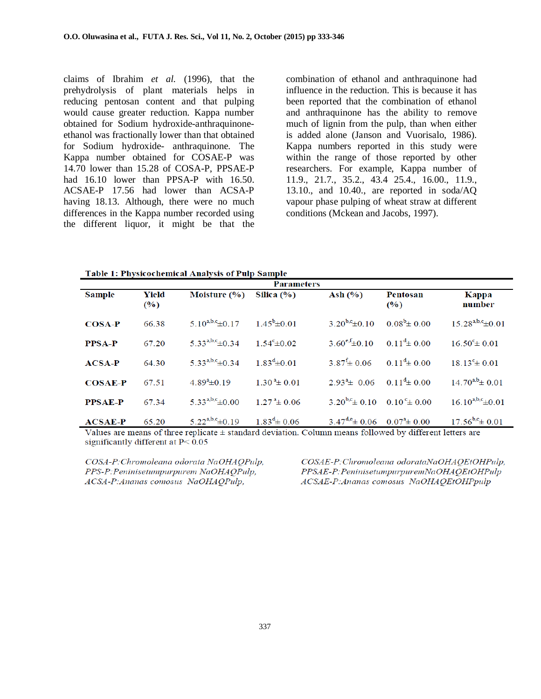claims of Ibrahim *et al.* (1996), that the prehydrolysis of plant materials helps in reducing pentosan content and that pulping would cause greater reduction. Kappa number obtained for Sodium hydroxide-anthraquinoneethanol was fractionally lower than that obtained for Sodium hydroxide- anthraquinone. The Kappa number obtained for COSAE-P was 14.70 lower than 15.28 of COSA-P, PPSAE-P had 16.10 lower than PPSA-P with 16.50. ACSAE-P 17.56 had lower than ACSA-P having 18.13. Although, there were no much differences in the Kappa number recorded using the different liquor, it might be that the

combination of ethanol and anthraquinone had influence in the reduction. This is because it has been reported that the combination of ethanol and anthraquinone has the ability to remove much of lignin from the pulp, than when either is added alone (Janson and Vuorisalo, 1986). Kappa numbers reported in this study were within the range of those reported by other researchers. For example, Kappa number of 11.9., 21.7., 35.2., 43.4 25.4., 16.00., 11.9., 13.10., and 10.40., are reported in soda/AQ vapour phase pulping of wheat straw at different conditions (Mckean and Jacobs, 1997).

**Table 1: Physicochemical Analysis of Pulp Sample** 

| тарк т. т пузкосисникат жиатузиз от т шр вашрк |              |                         |                                 |                                                         |                         |                          |  |  |  |
|------------------------------------------------|--------------|-------------------------|---------------------------------|---------------------------------------------------------|-------------------------|--------------------------|--|--|--|
| <b>Parameters</b>                              |              |                         |                                 |                                                         |                         |                          |  |  |  |
| <b>Sample</b>                                  | Yield<br>(%) | Moisture $(\% )$        | Silica $(\% )$                  | Ash $(\% )$                                             | Pentosan<br>$($ %)      | Kappa<br>number          |  |  |  |
| $COSA-P$                                       | 66.38        | $5.10^{a,b,c} \pm 0.17$ | $1.45^b \pm 0.01$               | $3.20^{b,c} \pm 0.10$                                   | $0.08^b \pm 0.00$       | $15.28^{a,b,c} \pm 0.01$ |  |  |  |
| <b>PPSA-P</b>                                  | 67.20        | $5.33^{a,b,c} \pm 0.34$ | $1.54^{\circ} \pm 0.02$         | $3.60^{\text{e,f}} \pm 0.10$ $0.11^{\text{d}} \pm 0.00$ |                         | $16.50^{\circ}$ ± 0.01   |  |  |  |
| $ACSA-P$                                       | 64.30        | $5.33^{a,b,c} \pm 0.34$ | $1.83^{d} \pm 0.01$             | $3.87^{\text{f}} \pm 0.06$                              | $0.11^{\rm d} \pm 0.00$ | $18.13^{\circ}$ ± 0.01   |  |  |  |
| $COSAE-P$                                      | 67.51        | $4.89^{\circ}$ ± 0.19   | $1.30^{\text{a}} \pm 0.01$      | $2.93^{\text{a}}$ + 0.06 0.11 <sup>d</sup> + 0.00       |                         | $14.70^{a,b}$ ± 0.01     |  |  |  |
| <b>PPSAE-P</b>                                 | 67.34        | $5.33^{a,b,c} \pm 0.00$ | $1.27^{\text{a}} \pm 0.06$      | $3.20^{b,c} \pm 0.10$ $0.10^{c} \pm 0.00$               |                         | $16.10^{a,b,c} \pm 0.01$ |  |  |  |
| $ACSAE-P$<br>$   -$                            | 65.20        | $5.22^{a,b,c} \pm 0.19$ | $1.83^{\text{d}} \pm 0.06$<br>. | $3.47^{d,e}$ ± 0.06 0.07 <sup>a</sup> ± 0.00            | 1111100<br>.            | $17.56^{b,c} \pm 0.01$   |  |  |  |

Values are means of three replicate ± standard deviation. Column means followed by different letters are significantly different at  $P < 0.05$ 

COSA-P: Chromoleana odorata NaOHAOPulp, PPS-P: Peninisetumpurpurem NaOHAOPulp, ACSA-P:Ananas comosus NaOHAQPulp,

COSAE-P:Chromoleana odorataNaOHAOEtOHPulp, PPSAE-P: PeninisetumpurpuremNaOHAQEtOHPulp ACSAE-P:Ananas comosus NaOHAQEtOHPpulp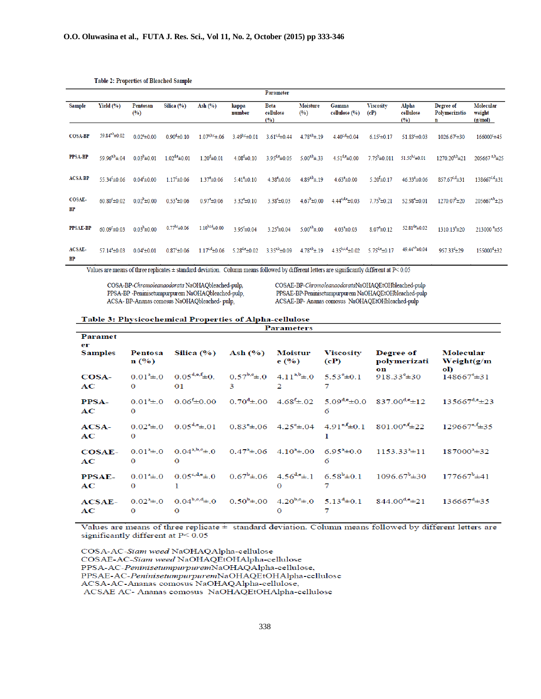|                                                                                                                                              |                                |                               |                         |                             |                         | Parameter                       |                               |                         |                                |                             |                                 |                                  |
|----------------------------------------------------------------------------------------------------------------------------------------------|--------------------------------|-------------------------------|-------------------------|-----------------------------|-------------------------|---------------------------------|-------------------------------|-------------------------|--------------------------------|-----------------------------|---------------------------------|----------------------------------|
| <b>Sample</b>                                                                                                                                | Yield $(\% )$                  | Pentosan<br>$($ %)            | Silica $(\%)$           | Ash $(%)$                   | kappa<br>number         | <b>Beta</b><br>cellulose<br>(%) | <b>Moisture</b><br>(%)        | Gamma<br>cellulose (%)  | <b>Viscosity</b><br>(cP)       | Alpha<br>cellulose<br>(%)   | Degree of<br>Polymerizatio<br>n | Molecular<br>weight<br>(g/mol)   |
| <b>COSA-BP</b>                                                                                                                               | $59.84^{a,b} \pm 0.02$         | $0.02^{\frac{a}{2}} \pm 0.00$ | $0.90^{\rm d} \pm 0.10$ | $1.07^{a,b,c} \pm .06$      | $3.49^{b,c} \pm 0.01$   | $3.61^{c,d} \pm 0.44$           | $4.78^{a,b} \pm .19$          | $4.40^{c,d} \pm 0.04$   | $6.15\pm0.17$                  | $51.83^{\circ} \pm 0.03$    | 1026.67 ± 30                    | 166000 £45                       |
| <b>PPSA-BP</b>                                                                                                                               | 59.96 <sup>a,b</sup> $\pm$ .04 | $0.03^{b} \pm 0.01$           | $1.02^{d,e} \pm 0.01$   | $1.20^d \pm 0.01$           | $4.08^d \pm 0.10$       | $3.95^{d,e} \pm 0.05$           | 5.00 <sup>a,b</sup> $\pm$ .33 | $4.51^{d,e} \pm 0.00$   | $7.75^b \pm 0.011$             | $51.50^{b,c} \pm 0.01$      | $1270.20^{a,b} \pm 21$          | $205667$ <sup>a,b</sup> $\pm 25$ |
| <b>ACSA-BP</b>                                                                                                                               | $55.34^{\circ} \pm 0.06$       | $0.04^c \pm 0.00$             | $1.17^{\circ} \pm 0.06$ | $1.37^{\circ}$ ±0.06        | $5.41^{\circ}$ ±0.10    | $4.38^{\text{e}}\pm 0.06$       | $4.89^{a,b} \pm .19$          | $4.63^{\circ}$ ±0.00    | $5.20^{f} \pm 0.17$            | $46.33^{a} \pm 0.06$        | $857.67^{c,d} \pm 31$           | $138667^{c,d} \pm 31$            |
| <b>COSAE-</b><br><b>BP</b>                                                                                                                   | $60.80^{\circ} \pm 0.02$       | $0.02^b \pm 0.00$             | $0.53^{\circ}$ ±0.06    | $0.97^{\circ}$ ±0.06        | $3.32^a \pm 0.10$       | $3.38^{\circ} \pm 0.03$         | $4.67^{\circ}$ ± 0.00         | $4.44^{c,d,e} \pm 0.03$ | $7.75^b \pm 0.21$              | $52.98^{\text{e}} \pm 0.01$ | $1270.07^{\circ}$ ±20           | $205667^{a,b} \pm 25$            |
| <b>PPSAE-BP</b>                                                                                                                              | $60.09^{\circ}$ ±0.03          | $0.03^{b} \pm 0.00$           | $0.77^{b,c}$ ±0.06      | $1.10^{b.c.d}$ ±0.00        | $3.95^{\circ} \pm 0.04$ | $3.25^{\text{a}} \pm 0.04$      | $5.00^{a,b}$ ± 00             | $4.03^a \pm 0.03$       | $8.07^{\circ}$ ± 0.12          | $52.81^{40} \pm 0.02$       | $1310.13^{a}$ ±20               | $213000$ <sup>a</sup> $\pm$ 55   |
| ACSAE-<br><b>BP</b>                                                                                                                          | $57.14^a \pm 0.03$             | $0.04^c \pm 0.01$             | $0.87^{\circ}$ ±0.06    | $1.17^{\text{c,d}}\pm 0.06$ | $5.28^{d,e} \pm 0.02$   | $3.35^{a,b} \pm 0.09$           | $4.78^{a,b}$ ± 19             | $4.35^{b,c,d} \pm 0.02$ | 5.75 <sup>d,e</sup> $\pm$ 0.17 | $49.44^{a,b} \pm 0.04$      | $957.33^{d}$ ±29                | $155000^{\text{d}} \pm 32$       |
| Values are means of three configator + standard deviation. Column means followed by different letters are significantly different of B< 0.05 |                                |                               |                         |                             |                         |                                 |                               |                         |                                |                             |                                 |                                  |

#### **Table 2: Properties of Bleached Sample**

Values are means of three replicates ± standard deviation. Column means followed by different letters are significantly different at P< 0.05

COSA-BP-Chromoleanaodorata NaOHAQbleached-pulp, PPSA-BP -Peninisetumpurpurem NaOHAQbleached-pulp, ACSA-BP-Ananas comosus NaOHAQbleached-pulp,

COSAE-BP-ChromoleanaodorataNaOHAQEtOHbleached-pulp PPSAE-BP-Peninisetumpurpurem NaOHAQEtOHbleached-pulp ACSAE-BP- Ananas comosus NaOHAQEtOHbleached-pulp

#### Table 3: Physicochemical Properties of Alpha-cellulose **Parameters**

| <b>Paramet</b><br>er |                                        |                                                                                     |   |               |                                                                              |                                                                                                                                                                                           |                                     |
|----------------------|----------------------------------------|-------------------------------------------------------------------------------------|---|---------------|------------------------------------------------------------------------------|-------------------------------------------------------------------------------------------------------------------------------------------------------------------------------------------|-------------------------------------|
| <b>Samples</b>       | $\mathbf{n}(\mathcal{V}_0)$            | Pentosa Silica (%) Ash (%) Moistur                                                  |   | $e($ %)       | <b>Viscosity</b><br>(cP)                                                     | <b>Degree of</b><br>polymerizati<br>on                                                                                                                                                    | Molecular<br>Weight $(g/m)$<br>ol)  |
| $\cos A$<br>AC       | $\Omega$                               | $0.01^a \pm 0$ $0.05^{d,e,f} \pm 0$ .<br>01                                         | 3 | $\mathcal{D}$ | $0.57^{b,e} \pm .0$ 4.11 <sup>a,b</sup> $\pm .0$ 5.53 <sup>e</sup> $\pm$ 0.1 | 918.33 $\pm$ 30                                                                                                                                                                           | $148667^{\circ}$ $\pm 31$           |
| <b>PPSA-</b><br>AC   | $\Omega$                               |                                                                                     |   |               | 6                                                                            | $0.01^3 \pm .0$ $0.06^6 \pm 0.00$ $0.70^4 \pm .00$ $4.68^6 \pm .02$ $5.09^{\text{de}} \pm 0.0$ $837.00^{\text{de}} \pm 12$                                                                | $135667^{d,e} \pm 23$               |
| $ACSA-$<br>AC        | $\Omega$                               |                                                                                     |   |               |                                                                              | $0.02^{\text{d}} \pm 0$ $0.05^{\text{d},\text{e}} \pm 01$ $0.83^{\text{e}} \pm 06$ $4.25^{\text{e}} \pm 04$ $4.91^{\text{e},\text{f}} \pm 0.1$ $801.00^{\text{e},\text{f}} \pm 22$        | $129667^{\text{e},\text{f}} \pm 35$ |
| $COSAE-$<br>AC       | $\Omega$                               | $0.01^a \pm 0$ $0.04^{a,b,c} \pm 0$ $0.47^a \pm 0.06$ $4.10^a \pm 0.00$<br>$\Omega$ |   |               | 6                                                                            | $6.95^{\text{a}} \pm 0.0$ $1153.33^{\text{a}} \pm 11$                                                                                                                                     | $187000^3 \pm 32$                   |
| <b>PPSAE-</b><br>AC  | $0.01^{\frac{a}{2}} \pm 0$<br>$\Omega$ |                                                                                     |   |               |                                                                              | $0.05^{\text{c,d,e}} \pm 0$ $0.67^{\text{b}} \pm 06$ $4.56^{\text{d,e}} \pm 1$ $6.58^{\text{b}} \pm 0.1$ $1096.67^{\text{b}} \pm 30$                                                      | $177667^b \pm 41$                   |
| $ACSAE-$<br>AC       | $\mathbf{o}$                           | $\Omega$                                                                            |   |               |                                                                              | $0.02^{\text{a}} \pm 0$ $0.04^{\text{b},\text{c},\text{d}} \pm 0$ $0.50^{\text{b}} \pm 00$ $4.20^{\text{b},\text{c}} \pm 0$ $5.13^{\text{d}} \pm 0.1$ $844.00^{\text{d},\text{e}} \pm 21$ | $136667^{\text{d}}\pm35$            |

Values are means of three replicate ± standard deviation. Column means followed by different letters are significantly different at  $P < 0.05$ 

COSA-AC-Siam weed NaOHAQAlpha-cellulose COSAE-AC-Siam weed NaOHAQEtOHAlpha-cellulose PPSA-AC-PeninisetumpurpuremNaOHAQAlpha-cellulose, PPSAE-AC-PeninisetumpurpuremNaOHAQEtOHAlpha-cellulose ACSA-AC-Ananas comosus NaOHAQAlpha-cellulose, ACSAE AC- Ananas comosus NaOHAQEtOHAlpha-cellulose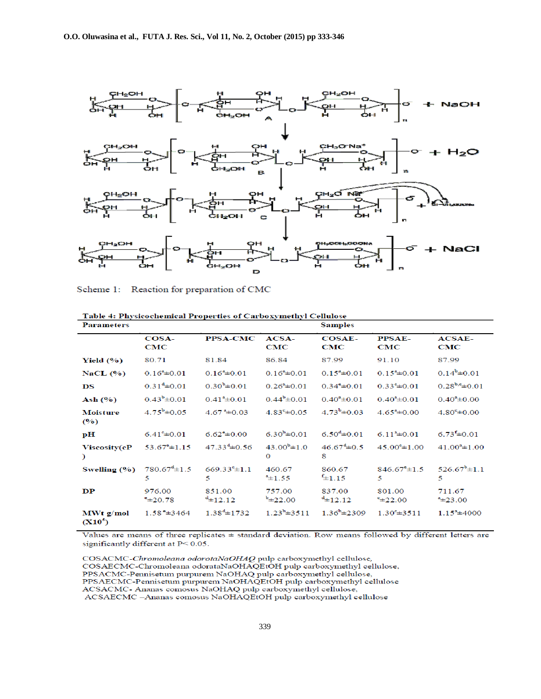

Scheme 1: Reaction for preparation of CMC

| <b>Parameters</b>                 | raoic 4. ruysicochemear rroperues or earlooxymethyr eenanose |                               |                                          | <b>Samples</b>                 |                                                |                            |
|-----------------------------------|--------------------------------------------------------------|-------------------------------|------------------------------------------|--------------------------------|------------------------------------------------|----------------------------|
|                                   | $COSA-$<br>$_{\rm CMC}$                                      | <b>PPSA-CMC</b>               | $ACSA-$<br>$\mathbf C\mathbf M\mathbf C$ | <b>COSAE-</b><br>$_{\rm CMC}$  | <b>PPSAE-</b><br>$\mathbf C\mathbf M\mathbf C$ | $ACSAE-$<br>CMC            |
| Yield $(\%)$                      | 80.71                                                        | 81.84                         | 86.84                                    | 87.99                          | 91.10                                          | 87.99                      |
| NaCL $(\%)$                       | $0.16^{\circ}$ ± 0.01                                        | $0.16^{\text{a}} \pm 0.01$    | $0.16^{\rm a} \pm 0.01$                  | $0.15^{\circ}$ ± 0.01          | $0.15^{\circ}$ ± 0.01                          | $0.14^b \pm 0.01$          |
| $_{\rm \bf DS}$                   | $0.31^{d} \pm 0.01$                                          | $0.30^{b} \pm 0.01$           | $0.26^{\circ}$ ± 0.01                    | $0.34^{\circ} \pm 0.01$        | $0.33^{\circ}$ ± 0.01                          | $0.28^{b,e} \pm 0.01$      |
| Ash $(\%)$                        | $0.43^{b} \pm 0.01$                                          | $0.41^{\frac{a}{2}} \pm 0.01$ | $0.44^b \pm 0.01$                        | $0.40^{\circ}$ ± 0.01          | $0.40^{\circ}$ ± 0.01                          | $0.40^{\circ}$ ± 0.00      |
| <b>Moisture</b><br>$($ %)         | $4.75^b \pm 0.05$                                            | $4.67^{\text{a}}\pm0.03$      | $4.83^{\circ} \pm 0.05$                  | $4.73^{b} \pm 0.03$            | $4.65^{\circ}$ ± 0.00                          | $4.80^{\circ}$ ± 0.00      |
| pH                                | $6.41^{\circ} \pm 0.01$                                      | $6.62^{\circ}$ ±0.00          | $6.30^{b} \pm 0.01$                      | $6.50^{d} \pm 0.01$            | $6.11^{a} \pm 0.01$                            | $6.73 \pm 0.01$            |
| Viscosity(cP<br>€                 | $53.67^{\circ} \pm 1.15$                                     | $47.33^{\text{d}}\pm 0.56$    | $43.00^{b} \pm 1.0$<br>$\mathbf{o}$      | $46.67^{\text{d}}\pm 0.5$<br>8 | $45.00^{\circ} \pm 1.00$                       | $41.00^a \pm 1.00$         |
| Swelling $(\% )$                  | $780.67^{\text{d}}\pm1.5$<br>5                               | $669.33^{\circ} \pm 1.1$<br>5 | 460.67<br>$4\pm 1.55$                    | 860.67<br>$f_{\pm 1.15}$       | $846.67^{\circ} \pm 1.5$<br>5                  | $526.67^b \pm 1.1$<br>5    |
| $\bf DP$                          | 976.00<br>$^{\circ}$ $\pm$ 20.78                             | 851.00<br>$4\pm 12.12$        | 757.00<br>$b_{\pm 22.00}$                | 837.00<br>$4\pm 12.12$         | 801.00<br>$-22.00$                             | 711.67<br>423.00           |
| $\mathbf{MWt}$ g/mol<br>$(X10^5)$ | $1.58^{\degree} \pm 3464$                                    | $1.38^{d}$ ± 1732             | $1.23^b \pm 3511$                        | $1.36^b \pm 2309$              | $1.30^{\circ}$ $\pm 3511$                      | $1.15^{\text{a}} \pm 4000$ |

Table 4: Physicochemical Properties of Carboxymethyl Cellulose

Values are means of three replicates  $\pm$  standard deviation. Row means followed by different letters are significantly different at P< 0.05.

COSACMC-Chromoleana odorotaNaOHAQ pulp carboxymethyl cellulose, COSAECMC-Chromoleana odorataNaOHAQEtOH pulp carboxymethyl cellulose, PPSACMC-Pennisetum purpurem NaOHAQ pulp carboxymethyl cellulose, PPSAECMC-Pennisetum purpurem NaOHAQEtOH pulp carboxymethyl cellulose ACSACMC-Ananas comosus NaOHAQ pulp carboxymethyl cellulose, ACSAECMC -Ananas comosus NaOHAQEtOH pulp carboxymethyl cellulose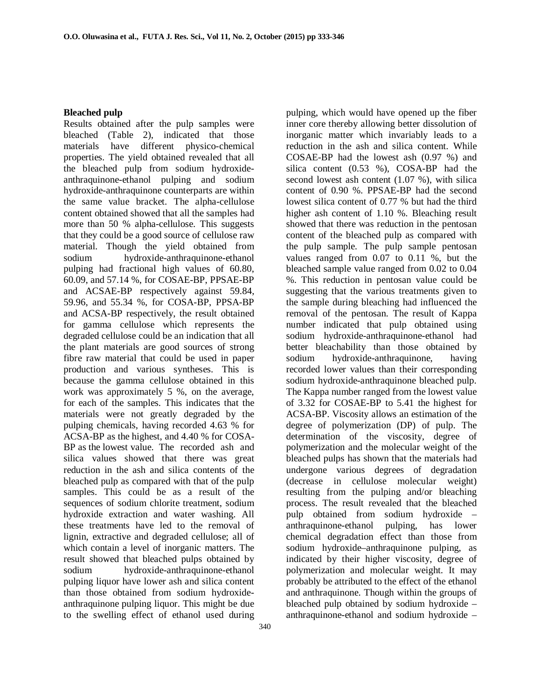#### **Bleached pulp**

Results obtained after the pulp samples were bleached (Table 2), indicated that those materials have different physico-chemical properties. The yield obtained revealed that all the bleached pulp from sodium hydroxideanthraquinone-ethanol pulping and sodium hydroxide-anthraquinone counterparts are within the same value bracket. The alpha-cellulose content obtained showed that all the samples had more than 50 % alpha-cellulose. This suggests that they could be a good source of cellulose raw material. Though the yield obtained from sodium hydroxide-anthraquinone-ethanol pulping had fractional high values of 60.80, 60.09, and 57.14 %, for COSAE-BP, PPSAE-BP and ACSAE-BP respectively against 59.84, 59.96, and 55.34 %, for COSA-BP, PPSA-BP and ACSA-BP respectively, the result obtained for gamma cellulose which represents the degraded cellulose could be an indication that all the plant materials are good sources of strong fibre raw material that could be used in paper production and various syntheses. This is because the gamma cellulose obtained in this work was approximately 5 %, on the average, for each of the samples. This indicates that the materials were not greatly degraded by the pulping chemicals, having recorded 4.63 % for ACSA-BP as the highest, and 4.40 % for COSA-BP as the lowest value. The recorded ash and silica values showed that there was great reduction in the ash and silica contents of the bleached pulp as compared with that of the pulp samples. This could be as a result of the sequences of sodium chlorite treatment, sodium hydroxide extraction and water washing. All these treatments have led to the removal of lignin, extractive and degraded cellulose; all of which contain a level of inorganic matters. The result showed that bleached pulps obtained by sodium hydroxide-anthraquinone-ethanol pulping liquor have lower ash and silica content than those obtained from sodium hydroxideanthraquinone pulping liquor. This might be due to the swelling effect of ethanol used during

pulping, which would have opened up the fiber inner core thereby allowing better dissolution of inorganic matter which invariably leads to a reduction in the ash and silica content. While COSAE-BP had the lowest ash (0.97 %) and silica content (0.53 %), COSA-BP had the second lowest ash content (1.07 %), with silica content of 0.90 %. PPSAE-BP had the second lowest silica content of 0.77 % but had the third higher ash content of 1.10 %. Bleaching result showed that there was reduction in the pentosan content of the bleached pulp as compared with the pulp sample. The pulp sample pentosan values ranged from 0.07 to 0.11 %, but the bleached sample value ranged from 0.02 to 0.04 %. This reduction in pentosan value could be suggesting that the various treatments given to the sample during bleaching had influenced the removal of the pentosan. The result of Kappa number indicated that pulp obtained using sodium hydroxide-anthraquinone-ethanol had better bleachability than those obtained by sodium hydroxide-anthraquinone, having recorded lower values than their corresponding sodium hydroxide-anthraquinone bleached pulp. The Kappa number ranged from the lowest value of 3.32 for COSAE-BP to 5.41 the highest for ACSA-BP. Viscosity allows an estimation of the degree of polymerization (DP) of pulp. The determination of the viscosity, degree of polymerization and the molecular weight of the bleached pulps has shown that the materials had undergone various degrees of degradation (decrease in cellulose molecular weight) resulting from the pulping and/or bleaching process. The result revealed that the bleached pulp obtained from sodium hydroxide – anthraquinone-ethanol pulping, has lower chemical degradation effect than those from sodium hydroxide–anthraquinone pulping, as indicated by their higher viscosity, degree of polymerization and molecular weight. It may probably be attributed to the effect of the ethanol and anthraquinone. Though within the groups of bleached pulp obtained by sodium hydroxide – anthraquinone-ethanol and sodium hydroxide –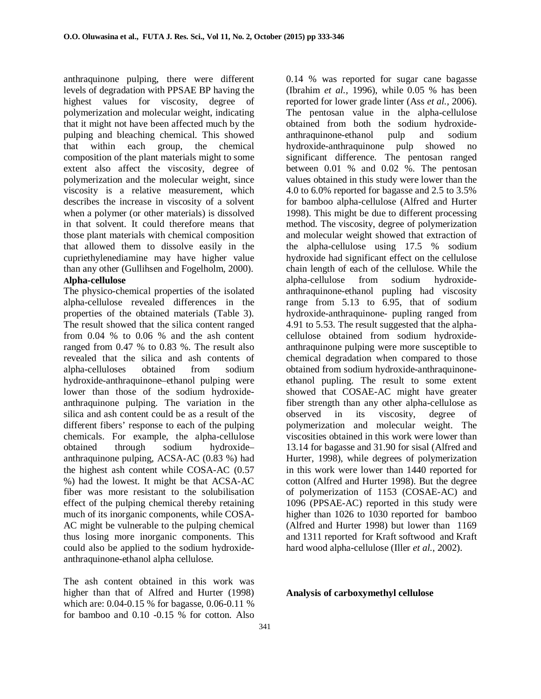anthraquinone pulping, there were different levels of degradation with PPSAE BP having the highest values for viscosity, degree of polymerization and molecular weight, indicating that it might not have been affected much by the pulping and bleaching chemical. This showed that within each group, the chemical composition of the plant materials might to some extent also affect the viscosity, degree of polymerization and the molecular weight, since viscosity is a relative measurement, which describes the increase in viscosity of a solvent when a polymer (or other materials) is dissolved in that solvent. It could therefore means that those plant materials with chemical composition that allowed them to dissolve easily in the cupriethylenediamine may have higher value than any other (Gullihsen and Fogelholm, 2000). **Alpha-cellulose** 

The physico-chemical properties of the isolated alpha-cellulose revealed differences in the properties of the obtained materials (Table 3). The result showed that the silica content ranged from 0.04 % to 0.06 % and the ash content ranged from 0.47 % to 0.83 %. The result also revealed that the silica and ash contents of alpha-celluloses obtained from sodium hydroxide-anthraquinone–ethanol pulping were lower than those of the sodium hydroxideanthraquinone pulping. The variation in the silica and ash content could be as a result of the different fibers' response to each of the pulping chemicals. For example, the alpha-cellulose obtained through sodium hydroxide– anthraquinone pulping, ACSA-AC (0.83 %) had the highest ash content while COSA-AC (0.57 %) had the lowest. It might be that ACSA-AC fiber was more resistant to the solubilisation effect of the pulping chemical thereby retaining much of its inorganic components, while COSA-AC might be vulnerable to the pulping chemical thus losing more inorganic components. This could also be applied to the sodium hydroxideanthraquinone-ethanol alpha cellulose.

The ash content obtained in this work was higher than that of Alfred and Hurter (1998) which are: 0.04-0.15 % for bagasse, 0.06-0.11 % for bamboo and 0.10 -0.15 % for cotton. Also 0.14 % was reported for sugar cane bagasse (Ibrahim *et al.,* 1996), while 0.05 % has been reported for lower grade linter (Ass *et al.,* 2006). The pentosan value in the alpha-cellulose obtained from both the sodium hydroxideanthraquinone-ethanol pulp and sodium hydroxide-anthraquinone pulp showed no significant difference. The pentosan ranged between 0.01 % and 0.02 %. The pentosan values obtained in this study were lower than the 4.0 to 6.0% reported for bagasse and 2.5 to 3.5% for bamboo alpha-cellulose (Alfred and Hurter 1998). This might be due to different processing method. The viscosity, degree of polymerization and molecular weight showed that extraction of the alpha-cellulose using 17.5 % sodium hydroxide had significant effect on the cellulose chain length of each of the cellulose. While the alpha-cellulose from sodium hydroxideanthraquinone-ethanol pupling had viscosity range from 5.13 to 6.95, that of sodium hydroxide-anthraquinone- pupling ranged from 4.91 to 5.53. The result suggested that the alphacellulose obtained from sodium hydroxideanthraquinone pulping were more susceptible to chemical degradation when compared to those obtained from sodium hydroxide-anthraquinoneethanol pupling. The result to some extent showed that COSAE-AC might have greater fiber strength than any other alpha-cellulose as observed in its viscosity, degree of polymerization and molecular weight. The viscosities obtained in this work were lower than 13.14 for bagasse and 31.90 for sisal (Alfred and Hurter, 1998), while degrees of polymerization in this work were lower than 1440 reported for cotton (Alfred and Hurter 1998). But the degree of polymerization of 1153 (COSAE-AC) and 1096 (PPSAE-AC) reported in this study were higher than 1026 to 1030 reported for bamboo (Alfred and Hurter 1998) but lower than 1169 and 1311 reported for Kraft softwood and Kraft hard wood alpha-cellulose (Iller *et al.*, 2002).

### **Analysis of carboxymethyl cellulose**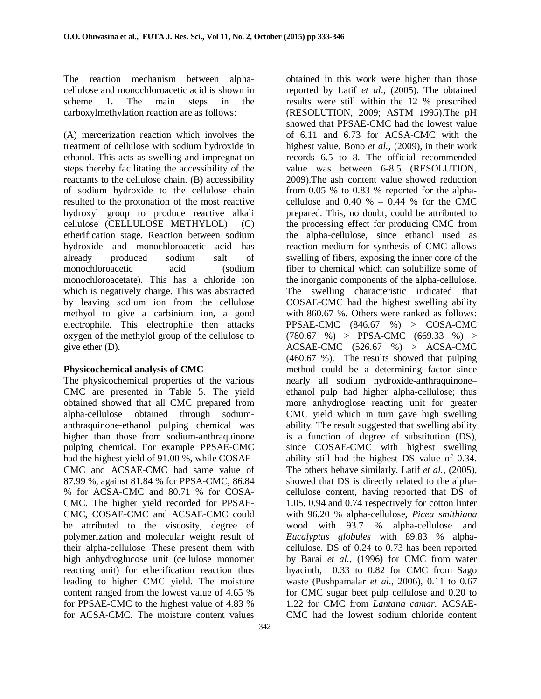The reaction mechanism between alphacellulose and monochloroacetic acid is shown in scheme 1. The main steps in the carboxylmethylation reaction are as follows:

(A) mercerization reaction which involves the treatment of cellulose with sodium hydroxide in ethanol. This acts as swelling and impregnation steps thereby facilitating the accessibility of the reactants to the cellulose chain. (B) accessibility of sodium hydroxide to the cellulose chain resulted to the protonation of the most reactive hydroxyl group to produce reactive alkali cellulose (CELLULOSE METHYLOL) (C) etherification stage. Reaction between sodium hydroxide and monochloroacetic acid has already produced sodium salt of monochloroacetic acid (sodium monochloroacetate). This has a chloride ion which is negatively charge. This was abstracted by leaving sodium ion from the cellulose methyol to give a carbinium ion, a good electrophile. This electrophile then attacks oxygen of the methylol group of the cellulose to give ether (D).

### **Physicochemical analysis of CMC**

The physicochemical properties of the various CMC are presented in Table 5. The yield obtained showed that all CMC prepared from alpha-cellulose obtained through sodiumanthraquinone-ethanol pulping chemical was higher than those from sodium-anthraquinone pulping chemical. For example PPSAE-CMC had the highest yield of 91.00 %, while COSAE-CMC and ACSAE-CMC had same value of 87.99 %, against 81.84 % for PPSA-CMC, 86.84 % for ACSA-CMC and 80.71 % for COSA-CMC. The higher yield recorded for PPSAE-CMC, COSAE-CMC and ACSAE-CMC could be attributed to the viscosity, degree of polymerization and molecular weight result of their alpha-cellulose. These present them with high anhydroglucose unit (cellulose monomer reacting unit) for etherification reaction thus leading to higher CMC yield. The moisture content ranged from the lowest value of 4.65 % for PPSAE-CMC to the highest value of 4.83 % for ACSA-CMC. The moisture content values

reported by Latif *et al*., (2005). The obtained results were still within the 12 % prescribed (RESOLUTION, 2009; ASTM 1995).The pH showed that PPSAE-CMC had the lowest value of 6.11 and 6.73 for ACSA-CMC with the highest value. Bono *et al.,* (2009), in their work records 6.5 to 8. The official recommended value was between 6-8.5 (RESOLUTION, 2009).The ash content value showed reduction from 0.05 % to 0.83 % reported for the alphacellulose and  $0.40 \% - 0.44 \%$  for the CMC prepared. This, no doubt, could be attributed to the processing effect for producing CMC from the alpha-cellulose, since ethanol used as reaction medium for synthesis of CMC allows swelling of fibers, exposing the inner core of the fiber to chemical which can solubilize some of the inorganic components of the alpha-cellulose. The swelling characteristic indicated that COSAE-CMC had the highest swelling ability with 860.67 %. Others were ranked as follows: PPSAE-CMC (846.67 %) > COSA-CMC  $(780.67 \%)$  > PPSA-CMC  $(669.33 \%)$  > ACSAE-CMC (526.67 %) > ACSA-CMC (460.67 %). The results showed that pulping method could be a determining factor since nearly all sodium hydroxide-anthraquinone– ethanol pulp had higher alpha-cellulose; thus more anhydroglose reacting unit for greater CMC yield which in turn gave high swelling ability. The result suggested that swelling ability is a function of degree of substitution (DS), since COSAE-CMC with highest swelling ability still had the highest DS value of 0.34. The others behave similarly. Latif *et al.,* (2005), showed that DS is directly related to the alphacellulose content, having reported that DS of 1.05, 0.94 and 0.74 respectively for cotton linter with 96.20 % alpha-cellulose, *Picea smithiana*  wood with 93.7 % alpha-cellulose and *Eucalyptus globules* with 89.83 % alphacellulose. DS of 0.24 to 0.73 has been reported by Barai *et al.,* (1996) for CMC from water hyacinth, 0.33 to 0.82 for CMC from Sago waste (Pushpamalar *et al*., 2006), 0.11 to 0.67 for CMC sugar beet pulp cellulose and 0.20 to 1.22 for CMC from *Lantana camar.* ACSAE-CMC had the lowest sodium chloride content

obtained in this work were higher than those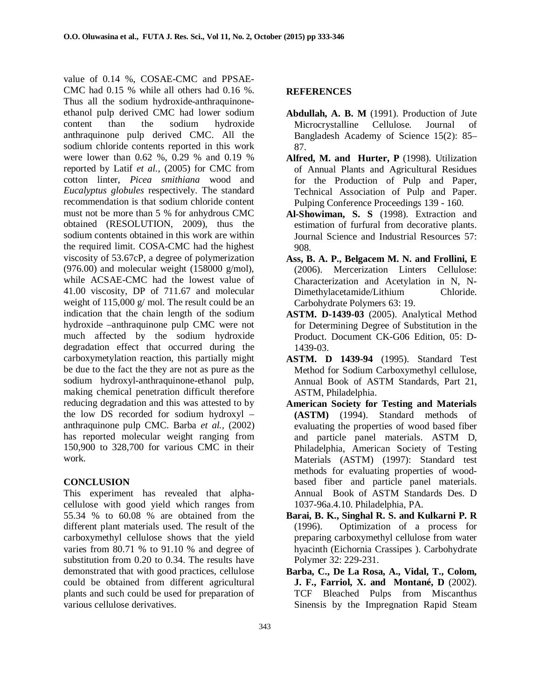value of 0.14 %, COSAE-CMC and PPSAE-CMC had 0.15 % while all others had 0.16 %. Thus all the sodium hydroxide-anthraquinoneethanol pulp derived CMC had lower sodium content than the sodium hydroxide anthraquinone pulp derived CMC. All the sodium chloride contents reported in this work were lower than 0.62 %, 0.29 % and 0.19 % reported by Latif *et al.,* (2005) for CMC from cotton linter, *Picea smithiana* wood and *Eucalyptus globules* respectively. The standard recommendation is that sodium chloride content must not be more than 5 % for anhydrous CMC obtained (RESOLUTION, 2009), thus the sodium contents obtained in this work are within the required limit. COSA-CMC had the highest viscosity of 53.67cP, a degree of polymerization  $(976.00)$  and molecular weight  $(158000 \text{ g/mol})$ , while ACSAE-CMC had the lowest value of 41.00 viscosity, DP of 711.67 and molecular weight of 115,000 g/ mol. The result could be an indication that the chain length of the sodium hydroxide –anthraquinone pulp CMC were not much affected by the sodium hydroxide degradation effect that occurred during the carboxymetylation reaction, this partially might be due to the fact the they are not as pure as the sodium hydroxyl-anthraquinone-ethanol pulp, making chemical penetration difficult therefore reducing degradation and this was attested to by the low DS recorded for sodium hydroxyl – anthraquinone pulp CMC. Barba *et al.,* (2002) has reported molecular weight ranging from 150,900 to 328,700 for various CMC in their work.

#### **CONCLUSION**

This experiment has revealed that alphacellulose with good yield which ranges from 55.34 % to 60.08 % are obtained from the different plant materials used. The result of the carboxymethyl cellulose shows that the yield varies from 80.71 % to 91.10 % and degree of substitution from 0.20 to 0.34. The results have demonstrated that with good practices, cellulose could be obtained from different agricultural plants and such could be used for preparation of various cellulose derivatives.

### **REFERENCES**

- **Abdullah, A. B. M** (1991). Production of Jute Microcrystalline Cellulose. Journal of Bangladesh Academy of Science 15(2): 85– 87.
- **Alfred, M. and Hurter, P** (1998). Utilization of Annual Plants and Agricultural Residues for the Production of Pulp and Paper, Technical Association of Pulp and Paper. Pulping Conference Proceedings 139 - 160.
- **Al-Showiman, S. S** (1998). Extraction and estimation of furfural from decorative plants. Journal Science and Industrial Resources 57: 908.
- **Ass, B. A. P., Belgacem M. N. and Frollini, E** (2006). Mercerization Linters Cellulose: Characterization and Acetylation in N, N-Dimethylacetamide/Lithium Chloride. Carbohydrate Polymers 63: 19.
- **ASTM. D-1439-03** (2005). Analytical Method for Determining Degree of Substitution in the Product. Document CK-G06 Edition, 05: D-1439-03.
- **ASTM. D 1439-94** (1995). Standard Test Method for Sodium Carboxymethyl cellulose, Annual Book of ASTM Standards, Part 21, ASTM, Philadelphia.
- **American Society for Testing and Materials (ASTM)** (1994). Standard methods of evaluating the properties of wood based fiber and particle panel materials. ASTM D, Philadelphia, American Society of Testing Materials (ASTM) (1997): Standard test methods for evaluating properties of woodbased fiber and particle panel materials. Annual Book of ASTM Standards Des. D 1037-96a.4.10. Philadelphia, PA.
- **Barai, B. K., Singhal R. S. and Kulkarni P. R** (1996). Optimization of a process for preparing carboxymethyl cellulose from water hyacinth (Eichornia Crassipes ). Carbohydrate Polymer 32: 229-231.
- **Barba, C., De La Rosa, A., Vidal, T., Colom, J. F., Farriol, X. and Montané, D** (2002). TCF Bleached Pulps from Miscanthus Sinensis by the Impregnation Rapid Steam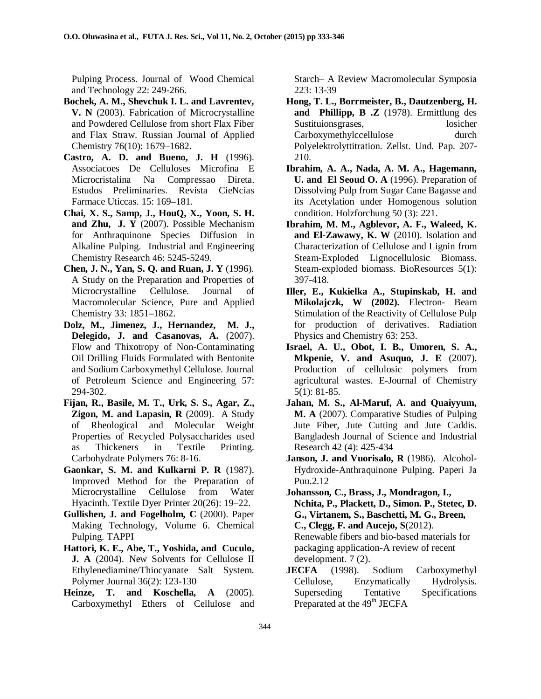Pulping Process. Journal of Wood Chemical and Technology 22: 249-266.

- **Bochek, A. M., Shevchuk I. L. and Lavrentev, V. N** (2003). Fabrication of Microcrystalline and Powdered Cellulose from short Flax Fiber and Flax Straw. Russian Journal of Applied Chemistry 76(10): 1679–1682.
- **Castro, A. D. and Bueno, J. H** (1996). Associacoes De Celluloses Microfina E Microcristalina Na Compressao Direta. Estudos Preliminaries. Revista CieNcias Farmace Uticcas. 15: 169–181.
- **Chai, X. S., Samp, J., HouQ, X., Yoon, S. H. and Zhu, J. Y** (2007). Possible Mechanism for Anthraquinone Species Diffusion in Alkaline Pulping. Industrial and Engineering Chemistry Research 46: 5245-5249.
- **Chen, J. N., Yan, S. Q. and Ruan, J. Y** (1996). A Study on the Preparation and Properties of Microcrystalline Cellulose. Journal of Macromolecular Science, Pure and Applied Chemistry 33: 1851–1862.
- **Dolz, M., Jimenez, J., Hernandez, M. J., Delegido, J. and Casanovas, A.** (2007). Flow and Thixotropy of Non-Contaminating Oil Drilling Fluids Formulated with Bentonite and Sodium Carboxymethyl Cellulose. Journal of Petroleum Science and Engineering 57: 294-302.
- **Fijan, R., Basile, M. T., Urk, S. S., Agar, Z., Zigon, M. and Lapasin, R** (2009). A Study of Rheological and Molecular Weight Properties of Recycled Polysaccharides used as Thickeners in Textile Printing. Carbohydrate Polymers 76: 8-16.
- **Gaonkar, S. M. and Kulkarni P. R** (1987). Improved Method for the Preparation of Microcrystalline Cellulose from Water Hyacinth. Textile Dyer Printer 20(26): 19–22.
- **Gullishen, J. and Fogelholm, C** (2000). Paper Making Technology, Volume 6. Chemical Pulping. TAPPI
- **Hattori, K. E., Abe, T., Yoshida, and Cuculo, J. A** (2004). New Solvents for Cellulose II Ethylenediamine/Thiocyanate Salt System. Polymer Journal 36(2): 123-130
- **Heinze, T. and Koschella, A** (2005). Carboxymethyl Ethers of Cellulose and

Starch– A Review Macromolecular Symposia 223: 13-39

- **Hong, T. L., Borrmeister, B., Dautzenberg, H. and Phillipp, B .Z** (1978). Ermittlung des Sustituionsgrases, losicher Carboxymethylccellulose durch Polyelektrolyttitration. Zellst. Und. Pap. 207- 210.
- **Ibrahim, A. A., Nada, A. M. A., Hagemann, U. and El Seoud O. A** (1996). Preparation of Dissolving Pulp from Sugar Cane Bagasse and its Acetylation under Homogenous solution condition. Holzforchung 50 (3): 221.
- **Ibrahim, M. M., Agblevor, A. F., Waleed, K. and El-Zawawy, K. W** (2010). Isolation and Characterization of Cellulose and Lignin from Steam-Exploded Lignocellulosic Biomass. Steam-exploded biomass. BioResources 5(1): 397-418.
- **Iller, E., Kukielka A., Stupinskab, H. and Mikolajczk, W (2002).** Electron- Beam Stimulation of the Reactivity of Cellulose Pulp for production of derivatives. Radiation Physics and Chemistry 63: 253.
- **Israel, A. U., Obot, I. B., Umoren, S. A., Mkpenie, V. and Asuquo, J. E** (2007). Production of cellulosic polymers from agricultural wastes. E-Journal of Chemistry 5(1): 81-85.
- **Jahan, M. S., Al-Maruf, A. and Quaiyyum, M. A** (2007). Comparative Studies of Pulping Jute Fiber, Jute Cutting and Jute Caddis. Bangladesh Journal of Science and Industrial Research 42 (4): 425-434
- **Janson, J. and Vuorisalo, R** (1986). Alcohol-Hydroxide-Anthraquinone Pulping. Paperi Ja Puu.2.12
- **Johansson, C., Brass, J., Mondragon, I., Nchita, P., Plackett, D., Simon. P., Stetec, D. G., Virtanem, S., Baschetti, M. G., Breen, C., Clegg, F. and Aucejo, S**(2012). Renewable fibers and bio-based materials for packaging application-A review of recent development. 7 (2).
- **JECFA** (1998). Sodium Carboxymethyl Cellulose, Enzymatically Hydrolysis. Superseding Tentative Specifications Preparated at the 49<sup>th</sup> JECFA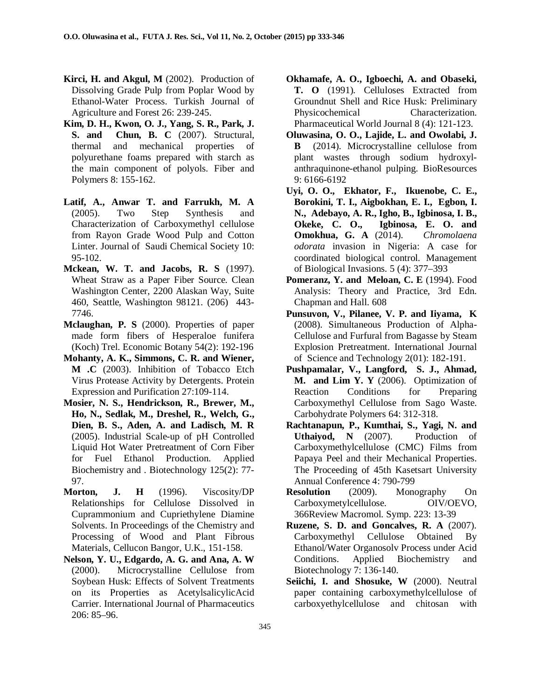- **Kirci, H. and Akgul, M** (2002). Production of Dissolving Grade Pulp from Poplar Wood by Ethanol-Water Process. Turkish Journal of Agriculture and Forest 26: 239-245.
- **Kim, D. H., Kwon, O. J., Yang, S. R., Park, J. S. and Chun, B. C** (2007). Structural, thermal and mechanical properties of polyurethane foams prepared with starch as the main component of polyols. Fiber and Polymers 8: 155-162.
- **Latif, A., Anwar T. and Farrukh, M. A** (2005). Two Step Synthesis and Characterization of Carboxymethyl cellulose from Rayon Grade Wood Pulp and Cotton Linter. Journal of Saudi Chemical Society 10: 95-102.
- **Mckean, W. T. and Jacobs, R. S** (1997). Wheat Straw as a Paper Fiber Source. Clean Washington Center, 2200 Alaskan Way, Suite 460, Seattle, Washington 98121. (206) 443- 7746.
- **Mclaughan, P. S** (2000). Properties of paper made form fibers of Hesperaloe funifera (Koch) Trel. Economic Botany 54(2): 192-196
- **Mohanty, A. K., Simmons, C. R. and Wiener, M .C** (2003). Inhibition of Tobacco Etch Virus Protease Activity by Detergents. Protein Expression and Purification 27:109-114.
- **Mosier, N. S., Hendrickson, R., Brewer, M., Ho, N., Sedlak, M., Dreshel, R., Welch, G., Dien, B. S., Aden, A. and Ladisch, M. R** (2005). Industrial Scale-up of pH Controlled Liquid Hot Water Pretreatment of Corn Fiber for Fuel Ethanol Production. Applied Biochemistry and . Biotechnology 125(2): 77- 97.
- **Morton, J. H** (1996). Viscosity/DP Relationships for Cellulose Dissolved in Cuprammonium and Cupriethylene Diamine Solvents. In Proceedings of the Chemistry and Processing of Wood and Plant Fibrous Materials, Cellucon Bangor, U.K., 151-158.
- **Nelson, Y. U., Edgardo, A. G. and Ana, A. W** (2000). Microcrystalline Cellulose from Soybean Husk: Effects of Solvent Treatments on its Properties as AcetylsalicylicAcid Carrier. International Journal of Pharmaceutics 206: 85–96.
- **Okhamafe, A. O., Igboechi, A. and Obaseki, T. O** (1991). Celluloses Extracted from Groundnut Shell and Rice Husk: Preliminary Physicochemical Characterization. Pharmaceutical World Journal 8 (4): 121-123.
- **Oluwasina, O. O., Lajide, L. and Owolabi, J. B** (2014). Microcrystalline cellulose from plant wastes through sodium hydroxylanthraquinone-ethanol pulping. BioResources 9: 6166-6192
- **Uyi, O. O., Ekhator, F., Ikuenobe, C. E., Borokini, T. I., Aigbokhan, E. I., Egbon, I. N., Adebayo, A. R., Igho, B., Igbinosa, I. B., Okeke, C. O., Igbinosa, E. O. and Omokhua, G. A** (2014). *Chromolaena odorata* invasion in Nigeria: A case for coordinated biological control. Management of Biological Invasions. 5 (4): 377–393
- Pomeranz, Y. and Meloan, C. E (1994). Food Analysis: Theory and Practice, 3rd Edn. Chapman and Hall. 608
- **Punsuvon, V., Pilanee, V. P. and Iiyama, K** (2008). Simultaneous Production of Alpha-Cellulose and Furfural from Bagasse by Steam Explosion Pretreatment. International Journal of Science and Technology 2(01): 182-191.
- **Pushpamalar, V., Langford, S. J., Ahmad, M. and Lim Y. Y** (2006). Optimization of Reaction Conditions for Preparing Carboxymethyl Cellulose from Sago Waste. Carbohydrate Polymers 64: 312-318.
- **Rachtanapun, P., Kumthai, S., Yagi, N. and Uthaiyod, N** (2007). Production of Carboxymethylcellulose (CMC) Films from Papaya Peel and their Mechanical Properties. The Proceeding of 45th Kasetsart University Annual Conference 4: 790-799
- **Resolution** (2009). Monography On Carboxymetylcellulose. OIV/OEVO, 366Review Macromol. Symp. 223: 13-39
- **Ruzene, S. D. and Goncalves, R. A** (2007). Carboxymethyl Cellulose Obtained By Ethanol/Water Organosolv Process under Acid Conditions. Applied Biochemistry and Biotechnology 7: 136-140.
- Seiichi, I. and Shosuke, W (2000). Neutral paper containing carboxymethylcellulose of carboxyethylcellulose and chitosan with